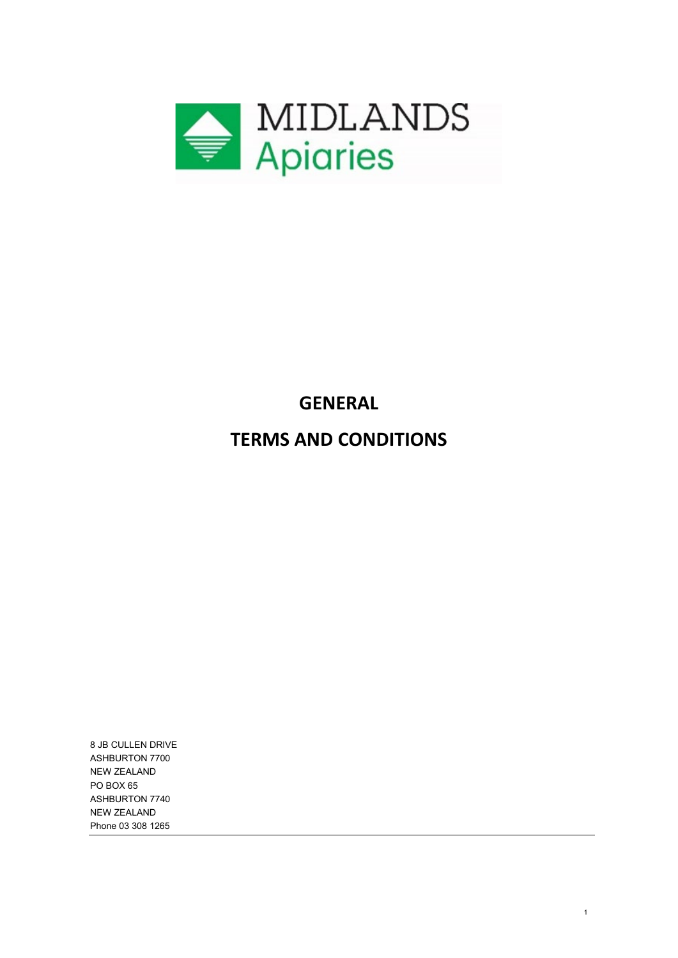

# **GENERAL**

# **TERMS AND CONDITIONS**

1

8 JB CULLEN DRIVE ASHBURTON 7700 NEW ZEALAND PO BOX 65 ASHBURTON 7740 NEW ZEALAND Phone 03 308 1265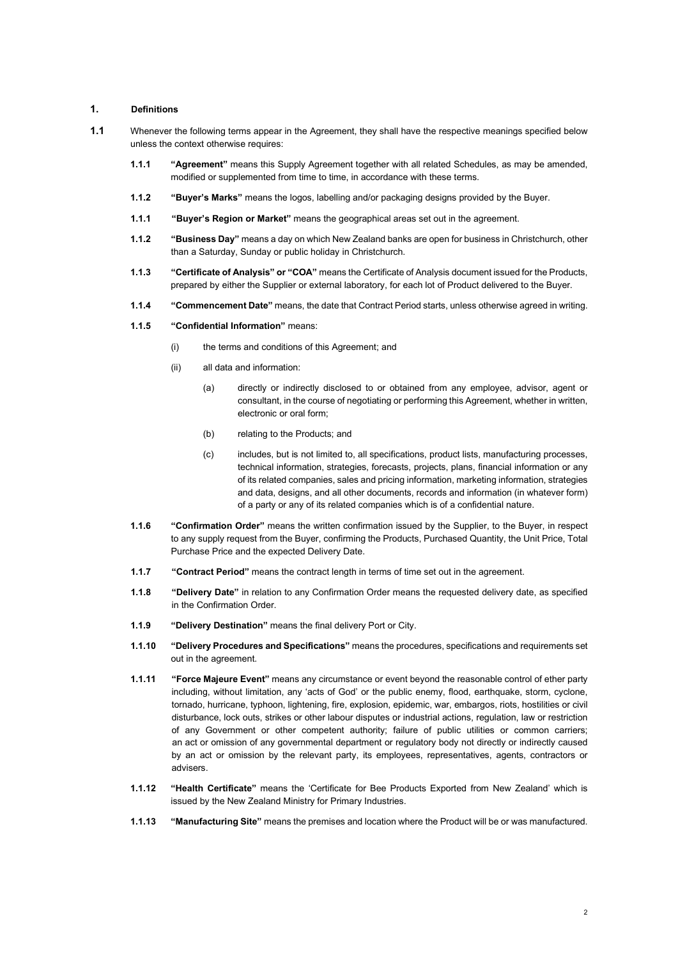#### **1. Definitions**

- **1.1** Whenever the following terms appear in the Agreement, they shall have the respective meanings specified below unless the context otherwise requires:
	- **1.1.1 "Agreement"** means this Supply Agreement together with all related Schedules, as may be amended, modified or supplemented from time to time, in accordance with these terms.
	- **1.1.2 "Buyer's Marks"** means the logos, labelling and/or packaging designs provided by the Buyer.
	- **1.1.1 "Buyer's Region or Market"** means the geographical areas set out in the agreement.
	- **1.1.2 "Business Day"** means a day on which New Zealand banks are open for business in Christchurch, other than a Saturday, Sunday or public holiday in Christchurch.
	- **1.1.3 "Certificate of Analysis" or "COA"** means the Certificate of Analysis document issued for the Products, prepared by either the Supplier or external laboratory, for each lot of Product delivered to the Buyer.
	- **1.1.4 "Commencement Date"** means, the date that Contract Period starts, unless otherwise agreed in writing.

#### **1.1.5 "Confidential Information"** means:

- (i) the terms and conditions of this Agreement; and
- (ii) all data and information:
	- (a) directly or indirectly disclosed to or obtained from any employee, advisor, agent or consultant, in the course of negotiating or performing this Agreement, whether in written, electronic or oral form;
	- (b) relating to the Products; and
	- (c) includes, but is not limited to, all specifications, product lists, manufacturing processes, technical information, strategies, forecasts, projects, plans, financial information or any of its related companies, sales and pricing information, marketing information, strategies and data, designs, and all other documents, records and information (in whatever form) of a party or any of its related companies which is of a confidential nature.
- **1.1.6 "Confirmation Order"** means the written confirmation issued by the Supplier, to the Buyer, in respect to any supply request from the Buyer, confirming the Products, Purchased Quantity, the Unit Price, Total Purchase Price and the expected Delivery Date.
- **1.1.7 "Contract Period"** means the contract length in terms of time set out in the agreement.
- **1.1.8 "Delivery Date"** in relation to any Confirmation Order means the requested delivery date, as specified in the Confirmation Order.
- **1.1.9 "Delivery Destination"** means the final delivery Port or City.
- **1.1.10 "Delivery Procedures and Specifications"** means the procedures, specifications and requirements set out in the agreement.
- **1.1.11 "Force Majeure Event"** means any circumstance or event beyond the reasonable control of ether party including, without limitation, any 'acts of God' or the public enemy, flood, earthquake, storm, cyclone, tornado, hurricane, typhoon, lightening, fire, explosion, epidemic, war, embargos, riots, hostilities or civil disturbance, lock outs, strikes or other labour disputes or industrial actions, regulation, law or restriction of any Government or other competent authority; failure of public utilities or common carriers; an act or omission of any governmental department or regulatory body not directly or indirectly caused by an act or omission by the relevant party, its employees, representatives, agents, contractors or advisers.
- **1.1.12 "Health Certificate"** means the 'Certificate for Bee Products Exported from New Zealand' which is issued by the New Zealand Ministry for Primary Industries.
- **1.1.13 "Manufacturing Site"** means the premises and location where the Product will be or was manufactured.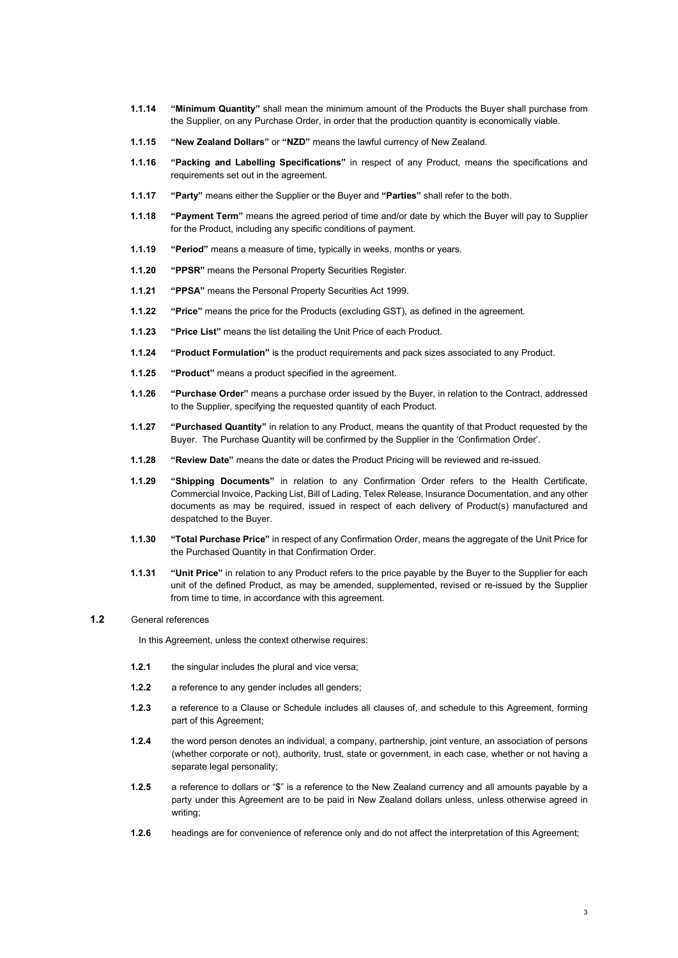- **1.1.14 "Minimum Quantity"** shall mean the minimum amount of the Products the Buyer shall purchase from the Supplier, on any Purchase Order, in order that the production quantity is economically viable.
- **1.1.15 "New Zealand Dollars"** or **"NZD"** means the lawful currency of New Zealand.
- **1.1.16 "Packing and Labelling Specifications"** in respect of any Product, means the specifications and requirements set out in the agreement.
- **1.1.17 "Party"** means either the Supplier or the Buyer and **"Parties"** shall refer to the both.
- **1.1.18 "Payment Term"** means the agreed period of time and/or date by which the Buyer will pay to Supplier for the Product, including any specific conditions of payment.
- **1.1.19 "Period"** means a measure of time, typically in weeks, months or years.
- **1.1.20 "PPSR"** means the Personal Property Securities Register.
- **1.1.21 "PPSA"** means the Personal Property Securities Act 1999.
- **1.1.22 "Price"** means the price for the Products (excluding GST), as defined in the agreement.
- **1.1.23 "Price List"** means the list detailing the Unit Price of each Product.
- **1.1.24 "Product Formulation"** is the product requirements and pack sizes associated to any Product.
- **1.1.25 "Product"** means a product specified in the agreement.
- **1.1.26 "Purchase Order"** means a purchase order issued by the Buyer, in relation to the Contract, addressed to the Supplier, specifying the requested quantity of each Product.
- **1.1.27 "Purchased Quantity"** in relation to any Product, means the quantity of that Product requested by the Buyer. The Purchase Quantity will be confirmed by the Supplier in the 'Confirmation Order'.
- **1.1.28 "Review Date"** means the date or dates the Product Pricing will be reviewed and re-issued.
- **1.1.29 "Shipping Documents"** in relation to any Confirmation Order refers to the Health Certificate, Commercial Invoice, Packing List, Bill of Lading, Telex Release, Insurance Documentation, and any other documents as may be required, issued in respect of each delivery of Product(s) manufactured and despatched to the Buyer.
- **1.1.30 "Total Purchase Price"** in respect of any Confirmation Order, means the aggregate of the Unit Price for the Purchased Quantity in that Confirmation Order.
- **1.1.31 "Unit Price"** in relation to any Product refers to the price payable by the Buyer to the Supplier for each unit of the defined Product, as may be amended, supplemented, revised or re-issued by the Supplier from time to time, in accordance with this agreement.

#### **1.2** General references

In this Agreement, unless the context otherwise requires:

- **1.2.1** the singular includes the plural and vice versa;
- **1.2.2** a reference to any gender includes all genders;
- **1.2.3** a reference to a Clause or Schedule includes all clauses of, and schedule to this Agreement, forming part of this Agreement;
- **1.2.4** the word person denotes an individual, a company, partnership, joint venture, an association of persons (whether corporate or not), authority, trust, state or government, in each case, whether or not having a separate legal personality;
- **1.2.5** a reference to dollars or "\$" is a reference to the New Zealand currency and all amounts payable by a party under this Agreement are to be paid in New Zealand dollars unless, unless otherwise agreed in writing;
- **1.2.6** headings are for convenience of reference only and do not affect the interpretation of this Agreement;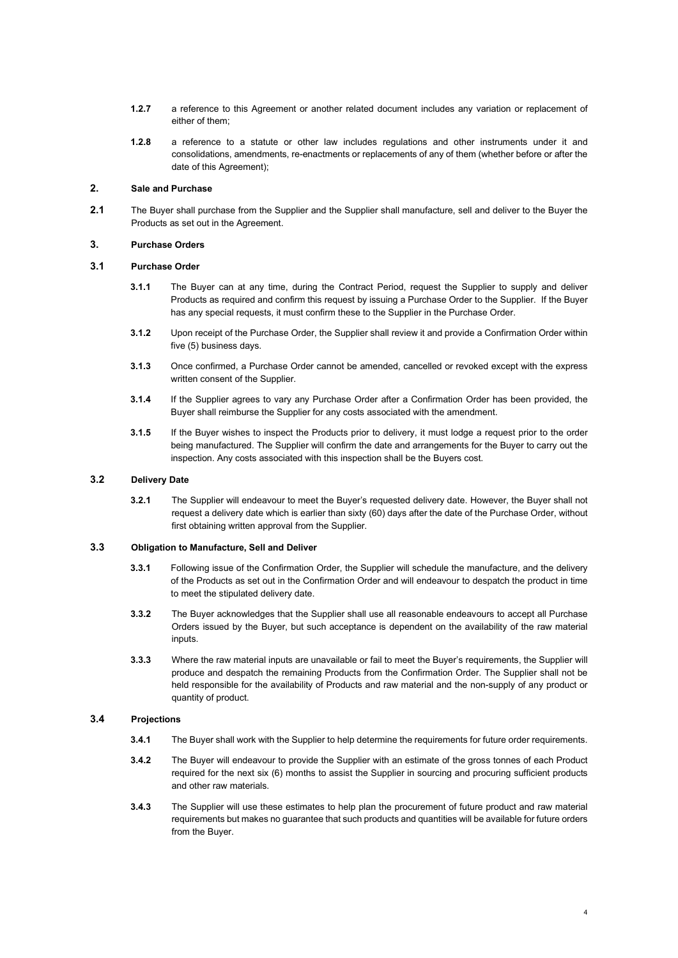- **1.2.7** a reference to this Agreement or another related document includes any variation or replacement of either of them;
- **1.2.8** a reference to a statute or other law includes regulations and other instruments under it and consolidations, amendments, re-enactments or replacements of any of them (whether before or after the date of this Agreement);

### **2. Sale and Purchase**

**2.1** The Buyer shall purchase from the Supplier and the Supplier shall manufacture, sell and deliver to the Buyer the Products as set out in the Agreement.

#### **3. Purchase Orders**

#### **3.1 Purchase Order**

- **3.1.1** The Buyer can at any time, during the Contract Period, request the Supplier to supply and deliver Products as required and confirm this request by issuing a Purchase Order to the Supplier. If the Buyer has any special requests, it must confirm these to the Supplier in the Purchase Order.
- **3.1.2** Upon receipt of the Purchase Order, the Supplier shall review it and provide a Confirmation Order within five (5) business days.
- **3.1.3** Once confirmed, a Purchase Order cannot be amended, cancelled or revoked except with the express written consent of the Supplier.
- **3.1.4** If the Supplier agrees to vary any Purchase Order after a Confirmation Order has been provided, the Buyer shall reimburse the Supplier for any costs associated with the amendment.
- **3.1.5** If the Buyer wishes to inspect the Products prior to delivery, it must lodge a request prior to the order being manufactured. The Supplier will confirm the date and arrangements for the Buyer to carry out the inspection. Any costs associated with this inspection shall be the Buyers cost.

#### **3.2 Delivery Date**

**3.2.1** The Supplier will endeavour to meet the Buyer's requested delivery date. However, the Buyer shall not request a delivery date which is earlier than sixty (60) days after the date of the Purchase Order, without first obtaining written approval from the Supplier.

### **3.3 Obligation to Manufacture, Sell and Deliver**

- **3.3.1** Following issue of the Confirmation Order, the Supplier will schedule the manufacture, and the delivery of the Products as set out in the Confirmation Order and will endeavour to despatch the product in time to meet the stipulated delivery date.
- **3.3.2** The Buyer acknowledges that the Supplier shall use all reasonable endeavours to accept all Purchase Orders issued by the Buyer, but such acceptance is dependent on the availability of the raw material inputs.
- **3.3.3** Where the raw material inputs are unavailable or fail to meet the Buyer's requirements, the Supplier will produce and despatch the remaining Products from the Confirmation Order. The Supplier shall not be held responsible for the availability of Products and raw material and the non-supply of any product or quantity of product.

#### <span id="page-3-0"></span>**3.4 Projections**

- **3.4.1** The Buyer shall work with the Supplier to help determine the requirements for future order requirements.
- **3.4.2** The Buyer will endeavour to provide the Supplier with an estimate of the gross tonnes of each Product required for the next six (6) months to assist the Supplier in sourcing and procuring sufficient products and other raw materials.
- **3.4.3** The Supplier will use these estimates to help plan the procurement of future product and raw material requirements but makes no guarantee that such products and quantities will be available for future orders from the Buyer.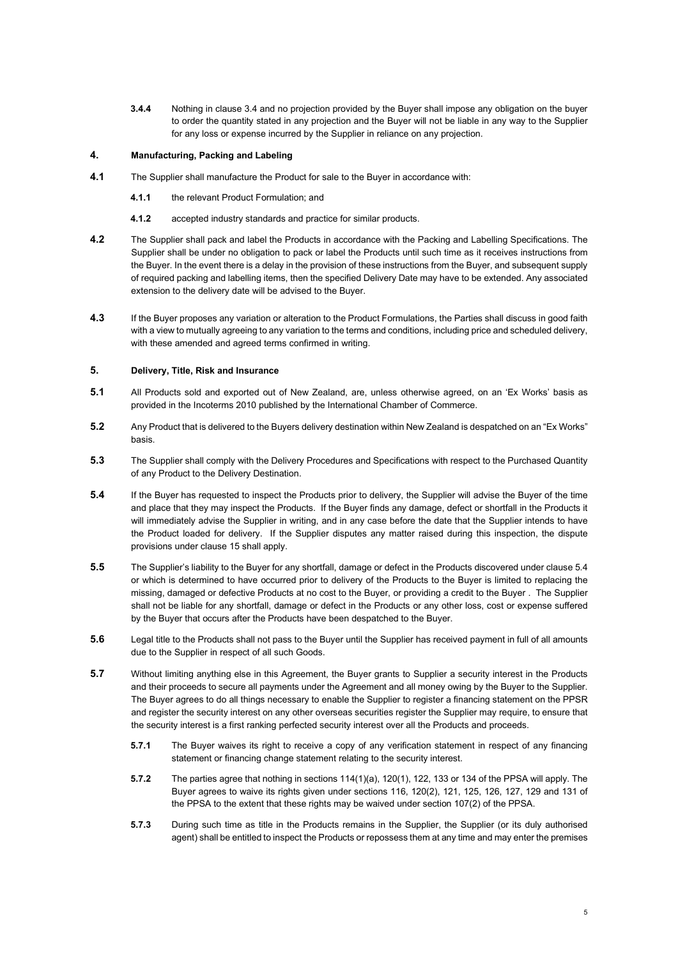**3.4.4** Nothing in claus[e 3.4](#page-3-0) and no projection provided by the Buyer shall impose any obligation on the buyer to order the quantity stated in any projection and the Buyer will not be liable in any way to the Supplier for any loss or expense incurred by the Supplier in reliance on any projection.

## **4. Manufacturing, Packing and Labeling**

- **4.1** The Supplier shall manufacture the Product for sale to the Buyer in accordance with:
	- **4.1.1** the relevant Product Formulation; and
	- **4.1.2** accepted industry standards and practice for similar products.
- **4.2** The Supplier shall pack and label the Products in accordance with the Packing and Labelling Specifications. The Supplier shall be under no obligation to pack or label the Products until such time as it receives instructions from the Buyer. In the event there is a delay in the provision of these instructions from the Buyer, and subsequent supply of required packing and labelling items, then the specified Delivery Date may have to be extended. Any associated extension to the delivery date will be advised to the Buyer.
- **4.3** If the Buyer proposes any variation or alteration to the Product Formulations, the Parties shall discuss in good faith with a view to mutually agreeing to any variation to the terms and conditions, including price and scheduled delivery, with these amended and agreed terms confirmed in writing.

#### **5. Delivery, Title, Risk and Insurance**

- **5.1** All Products sold and exported out of New Zealand, are, unless otherwise agreed, on an 'Ex Works' basis as provided in the Incoterms 2010 published by the International Chamber of Commerce.
- **5.2** Any Product that is delivered to the Buyers delivery destination within New Zealand is despatched on an "Ex Works" basis.
- **5.3** The Supplier shall comply with the Delivery Procedures and Specifications with respect to the Purchased Quantity of any Product to the Delivery Destination.
- <span id="page-4-0"></span>**5.4** If the Buyer has requested to inspect the Products prior to delivery, the Supplier will advise the Buyer of the time and place that they may inspect the Products. If the Buyer finds any damage, defect or shortfall in the Products it will immediately advise the Supplier in writing, and in any case before the date that the Supplier intends to have the Product loaded for delivery. If the Supplier disputes any matter raised during this inspection, the dispute provisions under claus[e 15](#page-8-0) shall apply.
- **5.5** The Supplier's liability to the Buyer for any shortfall, damage or defect in the Products discovered under claus[e 5.4](#page-4-0) or which is determined to have occurred prior to delivery of the Products to the Buyer is limited to replacing the missing, damaged or defective Products at no cost to the Buyer, or providing a credit to the Buyer . The Supplier shall not be liable for any shortfall, damage or defect in the Products or any other loss, cost or expense suffered by the Buyer that occurs after the Products have been despatched to the Buyer.
- **5.6** Legal title to the Products shall not pass to the Buyer until the Supplier has received payment in full of all amounts due to the Supplier in respect of all such Goods.
- **5.7** Without limiting anything else in this Agreement, the Buyer grants to Supplier a security interest in the Products and their proceeds to secure all payments under the Agreement and all money owing by the Buyer to the Supplier. The Buyer agrees to do all things necessary to enable the Supplier to register a financing statement on the PPSR and register the security interest on any other overseas securities register the Supplier may require, to ensure that the security interest is a first ranking perfected security interest over all the Products and proceeds.
	- **5.7.1** The Buyer waives its right to receive a copy of any verification statement in respect of any financing statement or financing change statement relating to the security interest.
	- **5.7.2** The parties agree that nothing in sections 114(1)(a), 120(1), 122, 133 or 134 of the PPSA will apply. The Buyer agrees to waive its rights given under sections 116, 120(2), 121, 125, 126, 127, 129 and 131 of the PPSA to the extent that these rights may be waived under section 107(2) of the PPSA.
	- **5.7.3** During such time as title in the Products remains in the Supplier, the Supplier (or its duly authorised agent) shall be entitled to inspect the Products or repossess them at any time and may enter the premises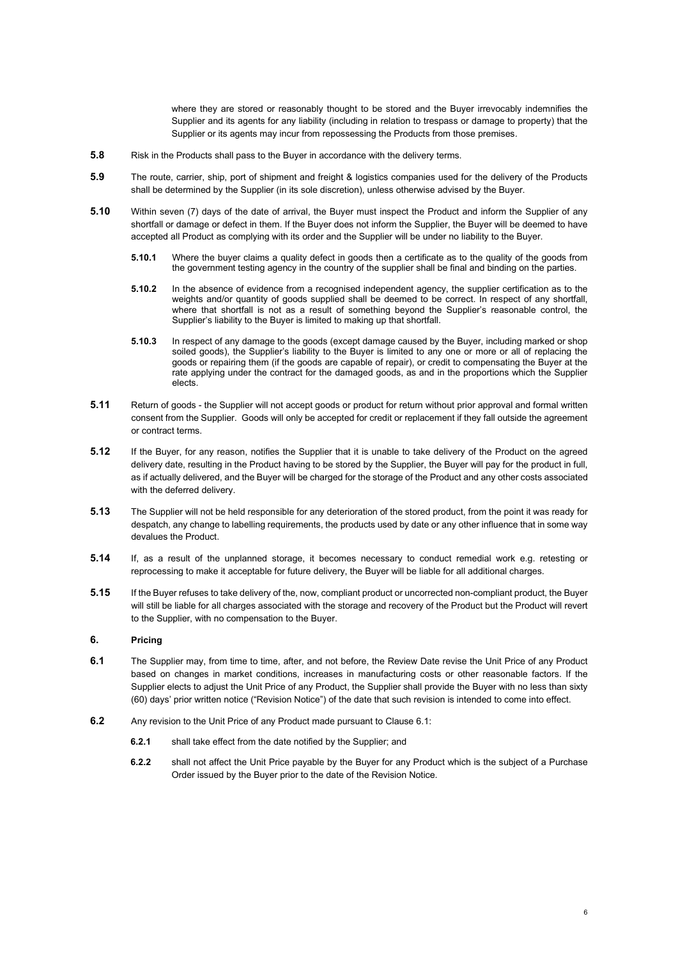where they are stored or reasonably thought to be stored and the Buyer irrevocably indemnifies the Supplier and its agents for any liability (including in relation to trespass or damage to property) that the Supplier or its agents may incur from repossessing the Products from those premises.

- **5.8** Risk in the Products shall pass to the Buyer in accordance with the delivery terms.
- **5.9** The route, carrier, ship, port of shipment and freight & logistics companies used for the delivery of the Products shall be determined by the Supplier (in its sole discretion), unless otherwise advised by the Buyer.
- **5.10** Within seven (7) days of the date of arrival, the Buyer must inspect the Product and inform the Supplier of any shortfall or damage or defect in them. If the Buyer does not inform the Supplier, the Buyer will be deemed to have accepted all Product as complying with its order and the Supplier will be under no liability to the Buyer.
	- **5.10.1** Where the buyer claims a quality defect in goods then a certificate as to the quality of the goods from the government testing agency in the country of the supplier shall be final and binding on the parties.
	- **5.10.2** In the absence of evidence from a recognised independent agency, the supplier certification as to the weights and/or quantity of goods supplied shall be deemed to be correct. In respect of any shortfall, where that shortfall is not as a result of something beyond the Supplier's reasonable control, the Supplier's liability to the Buyer is limited to making up that shortfall.
	- **5.10.3** In respect of any damage to the goods (except damage caused by the Buyer, including marked or shop soiled goods), the Supplier's liability to the Buyer is limited to any one or more or all of replacing the goods or repairing them (if the goods are capable of repair), or credit to compensating the Buyer at the rate applying under the contract for the damaged goods, as and in the proportions which the Supplier elects.
- **5.11** Return of goods the Supplier will not accept goods or product for return without prior approval and formal written consent from the Supplier. Goods will only be accepted for credit or replacement if they fall outside the agreement or contract terms.
- **5.12** If the Buyer, for any reason, notifies the Supplier that it is unable to take delivery of the Product on the agreed delivery date, resulting in the Product having to be stored by the Supplier, the Buyer will pay for the product in full, as if actually delivered, and the Buyer will be charged for the storage of the Product and any other costs associated with the deferred delivery.
- **5.13** The Supplier will not be held responsible for any deterioration of the stored product, from the point it was ready for despatch, any change to labelling requirements, the products used by date or any other influence that in some way devalues the Product.
- **5.14** If, as a result of the unplanned storage, it becomes necessary to conduct remedial work e.g. retesting or reprocessing to make it acceptable for future delivery, the Buyer will be liable for all additional charges.
- **5.15** If the Buyer refuses to take delivery of the, now, compliant product or uncorrected non-compliant product, the Buyer will still be liable for all charges associated with the storage and recovery of the Product but the Product will revert to the Supplier, with no compensation to the Buyer.

## **6. Pricing**

- **6.1** The Supplier may, from time to time, after, and not before, the Review Date revise the Unit Price of any Product based on changes in market conditions, increases in manufacturing costs or other reasonable factors. If the Supplier elects to adjust the Unit Price of any Product, the Supplier shall provide the Buyer with no less than sixty (60) days' prior written notice ("Revision Notice") of the date that such revision is intended to come into effect.
- **6.2** Any revision to the Unit Price of any Product made pursuant to Clause 6.1:
	- **6.2.1** shall take effect from the date notified by the Supplier; and
	- **6.2.2** shall not affect the Unit Price payable by the Buyer for any Product which is the subject of a Purchase Order issued by the Buyer prior to the date of the Revision Notice.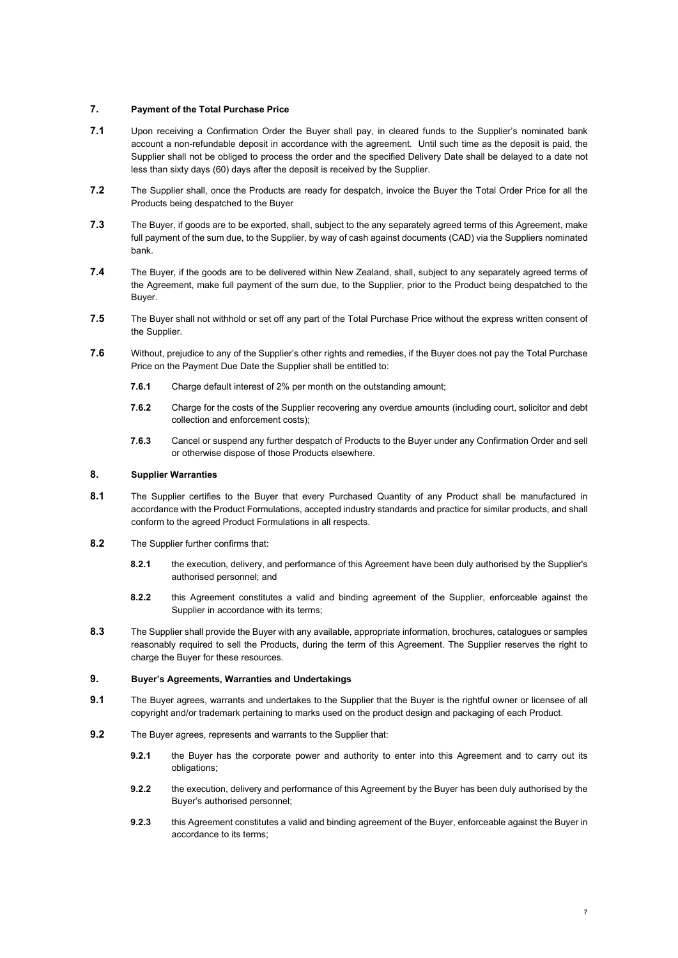#### **7. Payment of the Total Purchase Price**

- **7.1** Upon receiving a Confirmation Order the Buyer shall pay, in cleared funds to the Supplier's nominated bank account a non-refundable deposit in accordance with the agreement. Until such time as the deposit is paid, the Supplier shall not be obliged to process the order and the specified Delivery Date shall be delayed to a date not less than sixty days (60) days after the deposit is received by the Supplier.
- **7.2** The Supplier shall, once the Products are ready for despatch, invoice the Buyer the Total Order Price for all the Products being despatched to the Buyer
- **7.3** The Buyer, if goods are to be exported, shall, subject to the any separately agreed terms of this Agreement, make full payment of the sum due, to the Supplier, by way of cash against documents (CAD) via the Suppliers nominated bank.
- **7.4** The Buyer, if the goods are to be delivered within New Zealand, shall, subject to any separately agreed terms of the Agreement, make full payment of the sum due, to the Supplier, prior to the Product being despatched to the **Buver**
- **7.5** The Buyer shall not withhold or set off any part of the Total Purchase Price without the express written consent of the Supplier.
- **7.6** Without, prejudice to any of the Supplier's other rights and remedies, if the Buyer does not pay the Total Purchase Price on the Payment Due Date the Supplier shall be entitled to:
	- **7.6.1** Charge default interest of 2% per month on the outstanding amount:
	- **7.6.2** Charge for the costs of the Supplier recovering any overdue amounts (including court, solicitor and debt collection and enforcement costs);
	- **7.6.3** Cancel or suspend any further despatch of Products to the Buyer under any Confirmation Order and sell or otherwise dispose of those Products elsewhere.

#### **8. Supplier Warranties**

- **8.1** The Supplier certifies to the Buyer that every Purchased Quantity of any Product shall be manufactured in accordance with the Product Formulations, accepted industry standards and practice for similar products, and shall conform to the agreed Product Formulations in all respects.
- **8.2** The Supplier further confirms that:
	- **8.2.1** the execution, delivery, and performance of this Agreement have been duly authorised by the Supplier's authorised personnel; and
	- **8.2.2** this Agreement constitutes a valid and binding agreement of the Supplier, enforceable against the Supplier in accordance with its terms;
- **8.3** The Supplier shall provide the Buyer with any available, appropriate information, brochures, catalogues or samples reasonably required to sell the Products, during the term of this Agreement. The Supplier reserves the right to charge the Buyer for these resources.

### **9. Buyer's Agreements, Warranties and Undertakings**

- **9.1** The Buyer agrees, warrants and undertakes to the Supplier that the Buyer is the rightful owner or licensee of all copyright and/or trademark pertaining to marks used on the product design and packaging of each Product.
- **9.2** The Buyer agrees, represents and warrants to the Supplier that:
	- **9.2.1** the Buyer has the corporate power and authority to enter into this Agreement and to carry out its obligations;
	- **9.2.2** the execution, delivery and performance of this Agreement by the Buyer has been duly authorised by the Buyer's authorised personnel;
	- **9.2.3** this Agreement constitutes a valid and binding agreement of the Buyer, enforceable against the Buyer in accordance to its terms;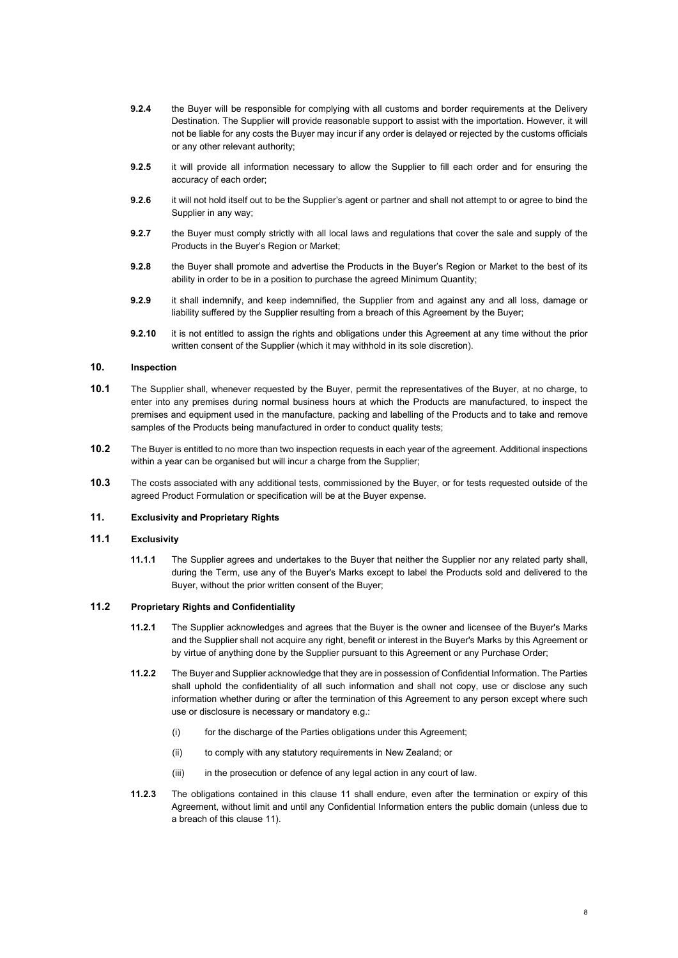- **9.2.4** the Buyer will be responsible for complying with all customs and border requirements at the Delivery Destination. The Supplier will provide reasonable support to assist with the importation. However, it will not be liable for any costs the Buyer may incur if any order is delayed or rejected by the customs officials or any other relevant authority;
- **9.2.5** it will provide all information necessary to allow the Supplier to fill each order and for ensuring the accuracy of each order;
- **9.2.6** it will not hold itself out to be the Supplier's agent or partner and shall not attempt to or agree to bind the Supplier in any way;
- **9.2.7** the Buyer must comply strictly with all local laws and regulations that cover the sale and supply of the Products in the Buyer's Region or Market;
- **9.2.8** the Buyer shall promote and advertise the Products in the Buyer's Region or Market to the best of its ability in order to be in a position to purchase the agreed Minimum Quantity;
- **9.2.9** it shall indemnify, and keep indemnified, the Supplier from and against any and all loss, damage or liability suffered by the Supplier resulting from a breach of this Agreement by the Buyer;
- **9.2.10** it is not entitled to assign the rights and obligations under this Agreement at any time without the prior written consent of the Supplier (which it may withhold in its sole discretion).

## **10. Inspection**

- **10.1** The Supplier shall, whenever requested by the Buyer, permit the representatives of the Buyer, at no charge, to enter into any premises during normal business hours at which the Products are manufactured, to inspect the premises and equipment used in the manufacture, packing and labelling of the Products and to take and remove samples of the Products being manufactured in order to conduct quality tests;
- **10.2** The Buyer is entitled to no more than two inspection requests in each year of the agreement. Additional inspections within a year can be organised but will incur a charge from the Supplier;
- **10.3** The costs associated with any additional tests, commissioned by the Buyer, or for tests requested outside of the agreed Product Formulation or specification will be at the Buyer expense.

## <span id="page-7-0"></span>**11. Exclusivity and Proprietary Rights**

#### **11.1 Exclusivity**

**11.1.1** The Supplier agrees and undertakes to the Buyer that neither the Supplier nor any related party shall, during the Term, use any of the Buyer's Marks except to label the Products sold and delivered to the Buyer, without the prior written consent of the Buyer;

### **11.2 Proprietary Rights and Confidentiality**

- **11.2.1** The Supplier acknowledges and agrees that the Buyer is the owner and licensee of the Buyer's Marks and the Supplier shall not acquire any right, benefit or interest in the Buyer's Marks by this Agreement or by virtue of anything done by the Supplier pursuant to this Agreement or any Purchase Order;
- **11.2.2** The Buyer and Supplier acknowledge that they are in possession of Confidential Information. The Parties shall uphold the confidentiality of all such information and shall not copy, use or disclose any such information whether during or after the termination of this Agreement to any person except where such use or disclosure is necessary or mandatory e.g.:
	- (i) for the discharge of the Parties obligations under this Agreement;
	- (ii) to comply with any statutory requirements in New Zealand; or
	- (iii) in the prosecution or defence of any legal action in any court of law.
- **11.2.3** The obligations contained in this clause [11](#page-7-0) shall endure, even after the termination or expiry of this Agreement, without limit and until any Confidential Information enters the public domain (unless due to a breach of this clause [11\)](#page-7-0).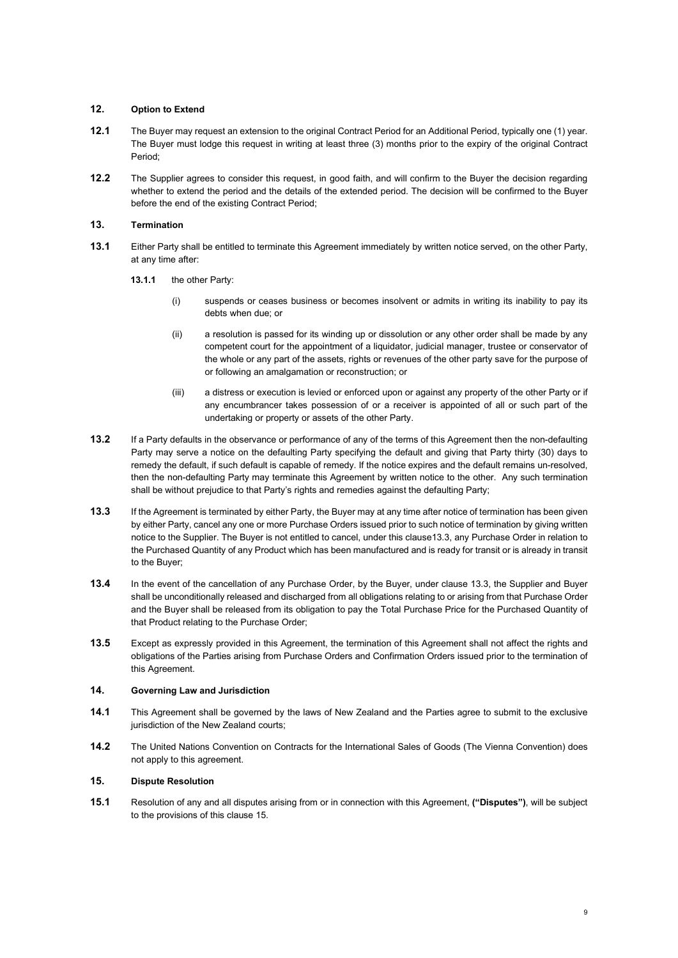## **12. Option to Extend**

- **12.1** The Buyer may request an extension to the original Contract Period for an Additional Period, typically one (1) year. The Buyer must lodge this request in writing at least three (3) months prior to the expiry of the original Contract Period;
- **12.2** The Supplier agrees to consider this request, in good faith, and will confirm to the Buyer the decision regarding whether to extend the period and the details of the extended period. The decision will be confirmed to the Buyer before the end of the existing Contract Period;

## **13. Termination**

- **13.1** Either Party shall be entitled to terminate this Agreement immediately by written notice served, on the other Party, at any time after:
	- **13.1.1** the other Party:
		- (i) suspends or ceases business or becomes insolvent or admits in writing its inability to pay its debts when due; or
		- (ii) a resolution is passed for its winding up or dissolution or any other order shall be made by any competent court for the appointment of a liquidator, judicial manager, trustee or conservator of the whole or any part of the assets, rights or revenues of the other party save for the purpose of or following an amalgamation or reconstruction; or
		- (iii) a distress or execution is levied or enforced upon or against any property of the other Party or if any encumbrancer takes possession of or a receiver is appointed of all or such part of the undertaking or property or assets of the other Party.
- **13.2** If a Party defaults in the observance or performance of any of the terms of this Agreement then the non-defaulting Party may serve a notice on the defaulting Party specifying the default and giving that Party thirty (30) days to remedy the default, if such default is capable of remedy. If the notice expires and the default remains un-resolved, then the non-defaulting Party may terminate this Agreement by written notice to the other. Any such termination shall be without prejudice to that Party's rights and remedies against the defaulting Party;
- <span id="page-8-1"></span>**13.3** If the Agreement is terminated by either Party, the Buyer may at any time after notice of termination has been given by either Party, cancel any one or more Purchase Orders issued prior to such notice of termination by giving written notice to the Supplier. The Buyer is not entitled to cancel, under this claus[e13.3,](#page-8-1) any Purchase Order in relation to the Purchased Quantity of any Product which has been manufactured and is ready for transit or is already in transit to the Buyer;
- **13.4** In the event of the cancellation of any Purchase Order, by the Buyer, under clause [13.3,](#page-8-1) the Supplier and Buyer shall be unconditionally released and discharged from all obligations relating to or arising from that Purchase Order and the Buyer shall be released from its obligation to pay the Total Purchase Price for the Purchased Quantity of that Product relating to the Purchase Order;
- **13.5** Except as expressly provided in this Agreement, the termination of this Agreement shall not affect the rights and obligations of the Parties arising from Purchase Orders and Confirmation Orders issued prior to the termination of this Agreement.

## **14. Governing Law and Jurisdiction**

- **14.1** This Agreement shall be governed by the laws of New Zealand and the Parties agree to submit to the exclusive jurisdiction of the New Zealand courts;
- **14.2** The United Nations Convention on Contracts for the International Sales of Goods (The Vienna Convention) does not apply to this agreement.

## <span id="page-8-0"></span>**15. Dispute Resolution**

**15.1** Resolution of any and all disputes arising from or in connection with this Agreement, **("Disputes")**, will be subject to the provisions of this clause 15.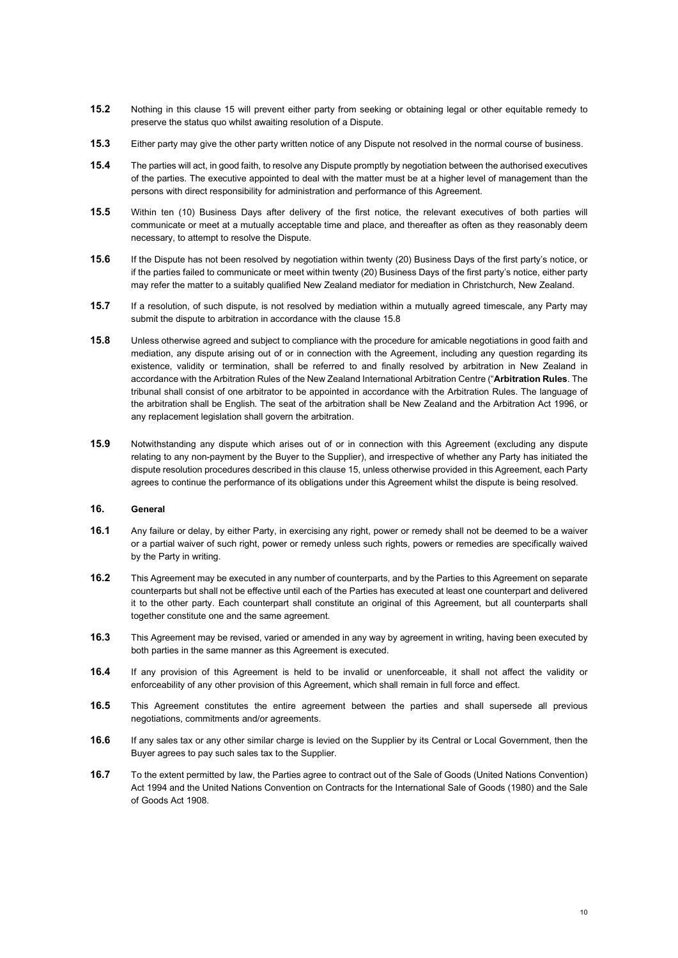- **15.2** Nothing in this clause 15 will prevent either party from seeking or obtaining legal or other equitable remedy to preserve the status quo whilst awaiting resolution of a Dispute.
- **15.3** Either party may give the other party written notice of any Dispute not resolved in the normal course of business.
- **15.4** The parties will act, in good faith, to resolve any Dispute promptly by negotiation between the authorised executives of the parties. The executive appointed to deal with the matter must be at a higher level of management than the persons with direct responsibility for administration and performance of this Agreement.
- **15.5** Within ten (10) Business Days after delivery of the first notice, the relevant executives of both parties will communicate or meet at a mutually acceptable time and place, and thereafter as often as they reasonably deem necessary, to attempt to resolve the Dispute.
- **15.6** If the Dispute has not been resolved by negotiation within twenty (20) Business Days of the first party's notice, or if the parties failed to communicate or meet within twenty (20) Business Days of the first party's notice, either party may refer the matter to a suitably qualified New Zealand mediator for mediation in Christchurch, New Zealand.
- **15.7** If a resolution, of such dispute, is not resolved by mediation within a mutually agreed timescale, any Party may submit the dispute to arbitration in accordance with the clause 15.8
- **15.8** Unless otherwise agreed and subject to compliance with the procedure for amicable negotiations in good faith and mediation, any dispute arising out of or in connection with the Agreement, including any question regarding its existence, validity or termination, shall be referred to and finally resolved by arbitration in New Zealand in accordance with the Arbitration Rules of the New Zealand International Arbitration Centre ("**Arbitration Rules**. The tribunal shall consist of one arbitrator to be appointed in accordance with the Arbitration Rules. The language of the arbitration shall be English. The seat of the arbitration shall be New Zealand and the Arbitration Act 1996, or any replacement legislation shall govern the arbitration.
- **15.9** Notwithstanding any dispute which arises out of or in connection with this Agreement (excluding any dispute relating to any non-payment by the Buyer to the Supplier), and irrespective of whether any Party has initiated the dispute resolution procedures described in this claus[e 15,](#page-8-0) unless otherwise provided in this Agreement, each Party agrees to continue the performance of its obligations under this Agreement whilst the dispute is being resolved.

### **16. General**

- **16.1** Any failure or delay, by either Party, in exercising any right, power or remedy shall not be deemed to be a waiver or a partial waiver of such right, power or remedy unless such rights, powers or remedies are specifically waived by the Party in writing.
- **16.2** This Agreement may be executed in any number of counterparts, and by the Parties to this Agreement on separate counterparts but shall not be effective until each of the Parties has executed at least one counterpart and delivered it to the other party. Each counterpart shall constitute an original of this Agreement, but all counterparts shall together constitute one and the same agreement.
- **16.3** This Agreement may be revised, varied or amended in any way by agreement in writing, having been executed by both parties in the same manner as this Agreement is executed.
- **16.4** If any provision of this Agreement is held to be invalid or unenforceable, it shall not affect the validity or enforceability of any other provision of this Agreement, which shall remain in full force and effect.
- **16.5** This Agreement constitutes the entire agreement between the parties and shall supersede all previous negotiations, commitments and/or agreements.
- **16.6** If any sales tax or any other similar charge is levied on the Supplier by its Central or Local Government, then the Buyer agrees to pay such sales tax to the Supplier.
- **16.7** To the extent permitted by law, the Parties agree to contract out of the Sale of Goods (United Nations Convention) Act 1994 and the United Nations Convention on Contracts for the International Sale of Goods (1980) and the Sale of Goods Act 1908.